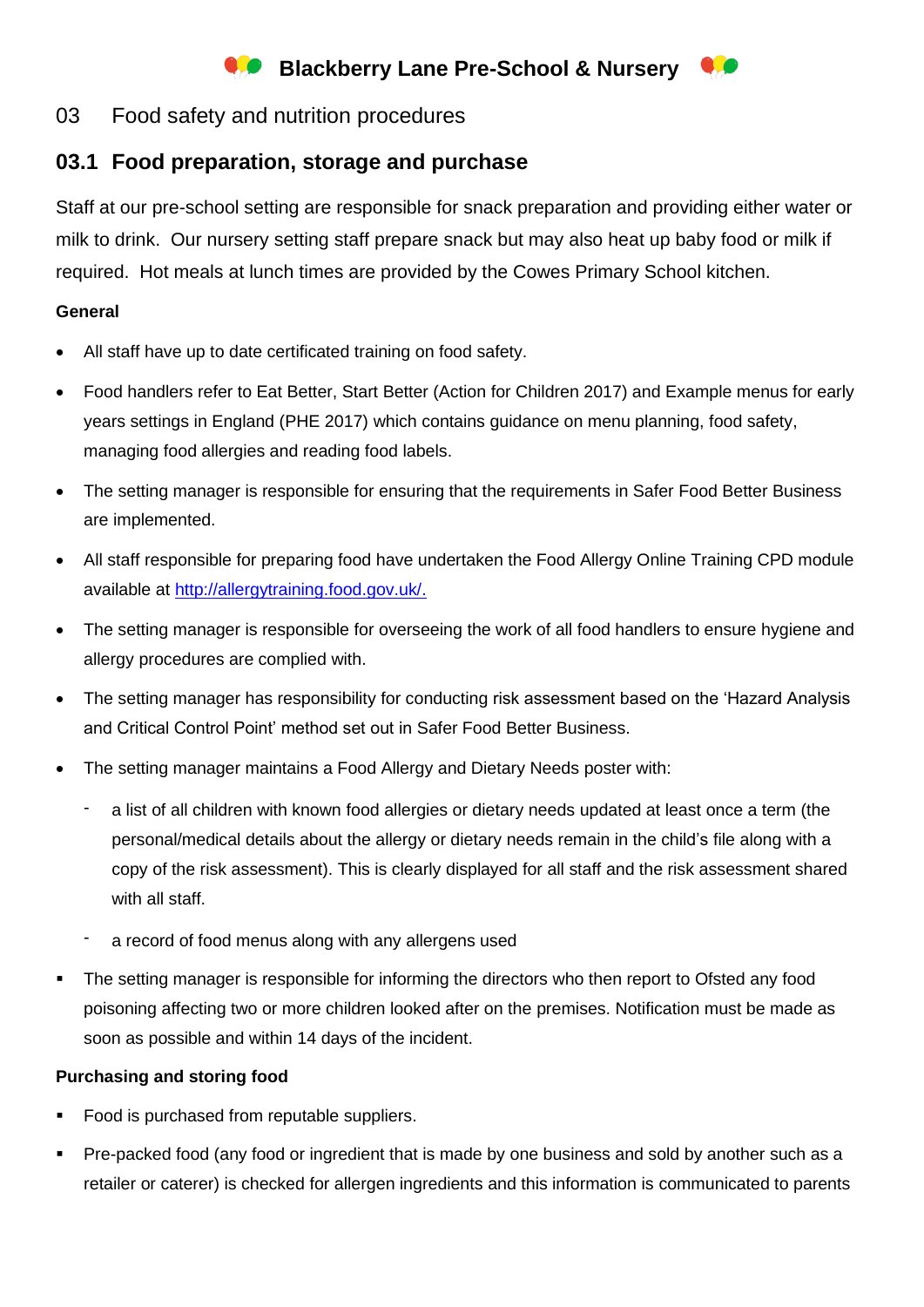# **Blackberry Lane Pre-School & Nursery**

### 03 Food safety and nutrition procedures

## **03.1 Food preparation, storage and purchase**

Staff at our pre-school setting are responsible for snack preparation and providing either water or milk to drink. Our nursery setting staff prepare snack but may also heat up baby food or milk if required. Hot meals at lunch times are provided by the Cowes Primary School kitchen.

#### **General**

- All staff have up to date certificated training on food safety.
- Food handlers refer to Eat Better, Start Better (Action for Children 2017) and Example menus for early years settings in England (PHE 2017) which contains guidance on menu planning, food safety, managing food allergies and reading food labels.
- The setting manager is responsible for ensuring that the requirements in Safer Food Better Business are implemented.
- All staff responsible for preparing food have undertaken the Food Allergy Online Training CPD module available at [http://allergytraining.food.gov.uk/.](http://allergytraining.food.gov.uk/)
- The setting manager is responsible for overseeing the work of all food handlers to ensure hygiene and allergy procedures are complied with.
- The setting manager has responsibility for conducting risk assessment based on the 'Hazard Analysis and Critical Control Point' method set out in Safer Food Better Business.
- The setting manager maintains a Food Allergy and Dietary Needs poster with:
	- a list of all children with known food allergies or dietary needs updated at least once a term (the personal/medical details about the allergy or dietary needs remain in the child's file along with a copy of the risk assessment). This is clearly displayed for all staff and the risk assessment shared with all staff.
	- a record of food menus along with any allergens used
- The setting manager is responsible for informing the directors who then report to Ofsted any food poisoning affecting two or more children looked after on the premises. Notification must be made as soon as possible and within 14 days of the incident.

#### **Purchasing and storing food**

- Food is purchased from reputable suppliers.
- Pre-packed food (any food or ingredient that is made by one business and sold by another such as a retailer or caterer) is checked for allergen ingredients and this information is communicated to parents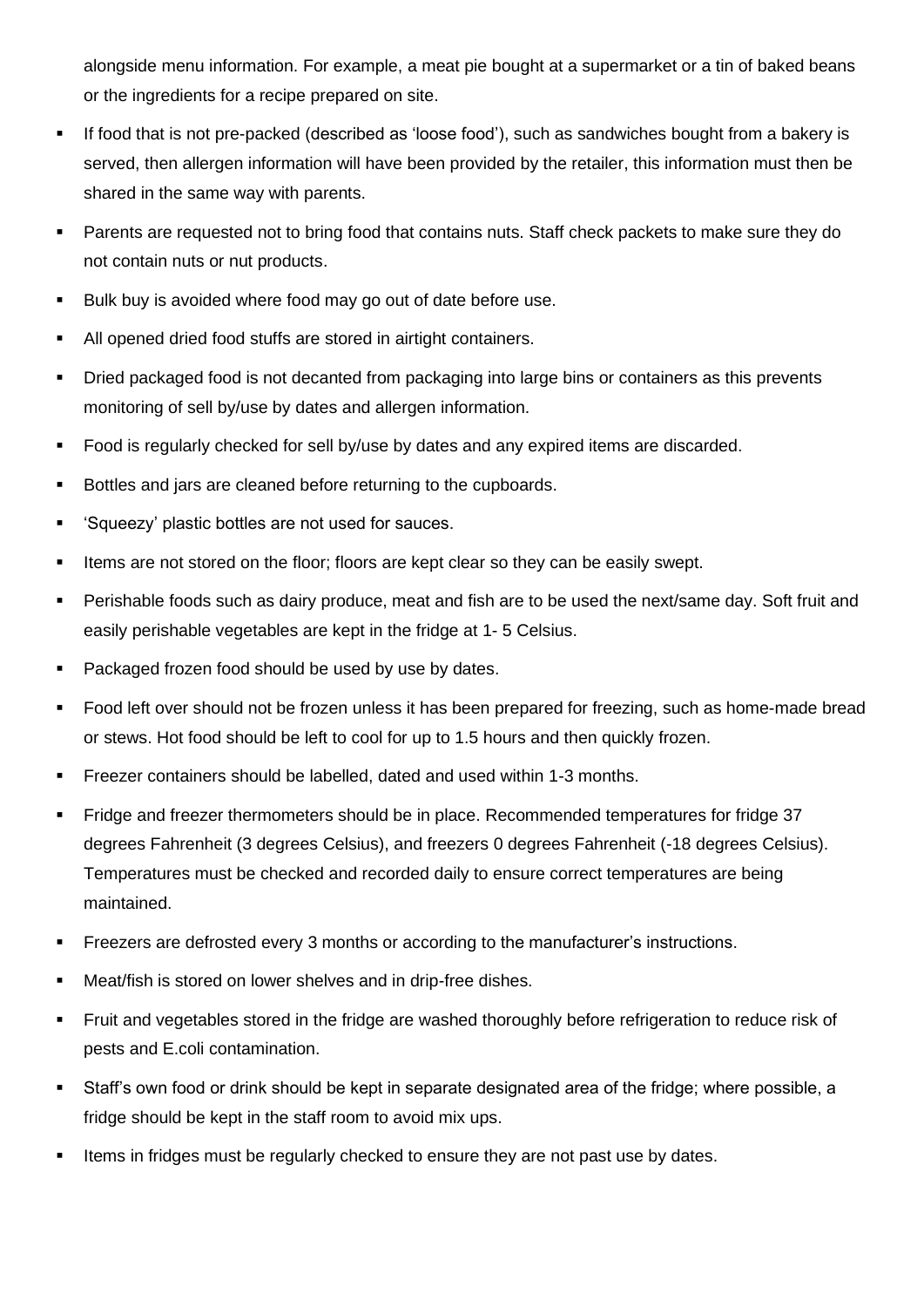alongside menu information. For example, a meat pie bought at a supermarket or a tin of baked beans or the ingredients for a recipe prepared on site.

- If food that is not pre-packed (described as 'loose food'), such as sandwiches bought from a bakery is served, then allergen information will have been provided by the retailer, this information must then be shared in the same way with parents.
- Parents are requested not to bring food that contains nuts. Staff check packets to make sure they do not contain nuts or nut products.
- Bulk buy is avoided where food may go out of date before use.
- All opened dried food stuffs are stored in airtight containers.
- Dried packaged food is not decanted from packaging into large bins or containers as this prevents monitoring of sell by/use by dates and allergen information.
- Food is regularly checked for sell by/use by dates and any expired items are discarded.
- Bottles and jars are cleaned before returning to the cupboards.
- 'Squeezy' plastic bottles are not used for sauces.
- Items are not stored on the floor; floors are kept clear so they can be easily swept.
- Perishable foods such as dairy produce, meat and fish are to be used the next/same day. Soft fruit and easily perishable vegetables are kept in the fridge at 1- 5 Celsius.
- Packaged frozen food should be used by use by dates.
- Food left over should not be frozen unless it has been prepared for freezing, such as home-made bread or stews. Hot food should be left to cool for up to 1.5 hours and then quickly frozen.
- **EXECTE FREEZER CONTAINERS** should be labelled, dated and used within 1-3 months.
- Fridge and freezer thermometers should be in place. Recommended temperatures for fridge 37 degrees Fahrenheit (3 degrees Celsius), and freezers 0 degrees Fahrenheit (-18 degrees Celsius). Temperatures must be checked and recorded daily to ensure correct temperatures are being maintained.
- **EXECT** Freezers are defrosted every 3 months or according to the manufacturer's instructions.
- Meat/fish is stored on lower shelves and in drip-free dishes.
- Fruit and vegetables stored in the fridge are washed thoroughly before refrigeration to reduce risk of pests and E.coli contamination.
- Staff's own food or drink should be kept in separate designated area of the fridge; where possible, a fridge should be kept in the staff room to avoid mix ups.
- Items in fridges must be regularly checked to ensure they are not past use by dates.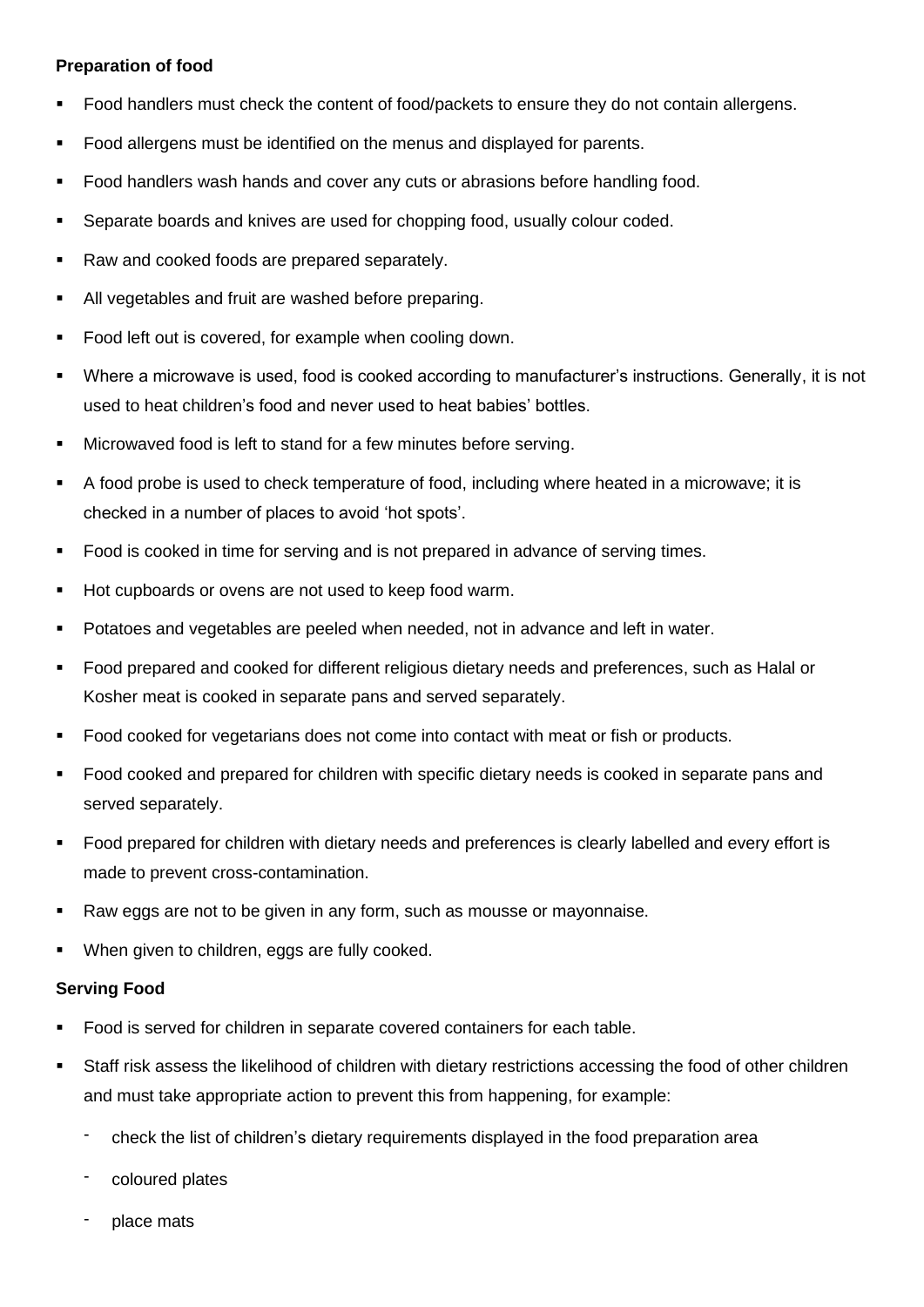#### **Preparation of food**

- Food handlers must check the content of food/packets to ensure they do not contain allergens.
- Food allergens must be identified on the menus and displayed for parents.
- Food handlers wash hands and cover any cuts or abrasions before handling food.
- Separate boards and knives are used for chopping food, usually colour coded.
- Raw and cooked foods are prepared separately.
- All vegetables and fruit are washed before preparing.
- Food left out is covered, for example when cooling down.
- Where a microwave is used, food is cooked according to manufacturer's instructions. Generally, it is not used to heat children's food and never used to heat babies' bottles.
- Microwaved food is left to stand for a few minutes before serving.
- A food probe is used to check temperature of food, including where heated in a microwave; it is checked in a number of places to avoid 'hot spots'.
- Food is cooked in time for serving and is not prepared in advance of serving times.
- Hot cupboards or ovens are not used to keep food warm.
- Potatoes and vegetables are peeled when needed, not in advance and left in water.
- Food prepared and cooked for different religious dietary needs and preferences, such as Halal or Kosher meat is cooked in separate pans and served separately.
- Food cooked for vegetarians does not come into contact with meat or fish or products.
- Food cooked and prepared for children with specific dietary needs is cooked in separate pans and served separately.
- Food prepared for children with dietary needs and preferences is clearly labelled and every effort is made to prevent cross-contamination.
- Raw eggs are not to be given in any form, such as mousse or mayonnaise.
- When given to children, eggs are fully cooked.

#### **Serving Food**

- Food is served for children in separate covered containers for each table.
- Staff risk assess the likelihood of children with dietary restrictions accessing the food of other children and must take appropriate action to prevent this from happening, for example:
	- check the list of children's dietary requirements displayed in the food preparation area
	- coloured plates
	- place mats